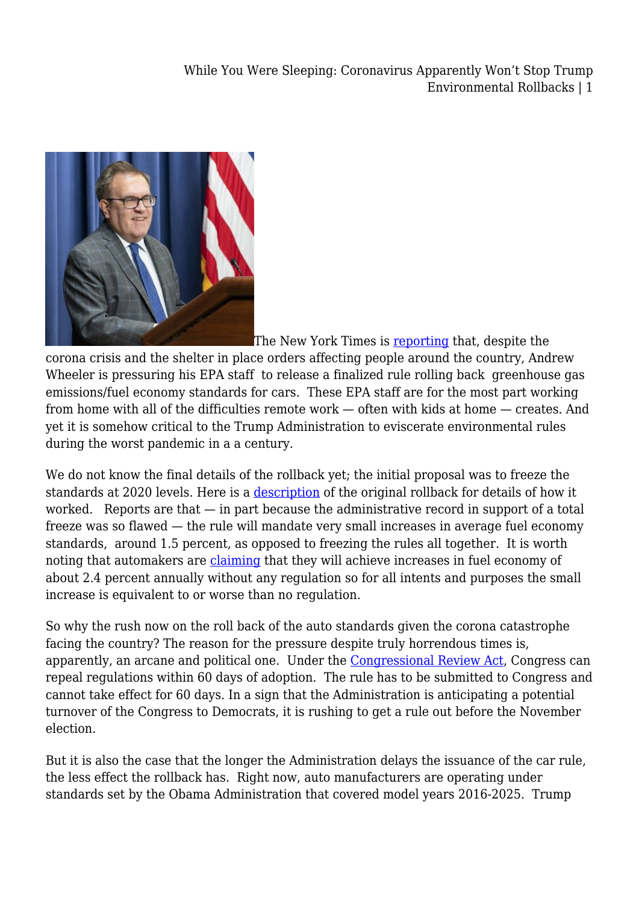While You Were Sleeping: Coronavirus Apparently Won't Stop Trump Environmental Rollbacks | 1



The New York Times is [reporting](https://www.nytimes.com/2020/03/25/climate/coronavirus-environmental-regulations-trump.html) that, despite the corona crisis and the shelter in place orders affecting people around the country, Andrew Wheeler is pressuring his EPA staff to release a finalized rule rolling back greenhouse gas emissions/fuel economy standards for cars. These EPA staff are for the most part working from home with all of the difficulties remote work — often with kids at home — creates. And yet it is somehow critical to the Trump Administration to eviscerate environmental rules during the worst pandemic in a a century.

We do not know the final details of the rollback yet; the initial proposal was to freeze the standards at 2020 levels. Here is a [description](https://legal-planet.org/2018/08/02/the-trump-administration-just-released-its-proposal-to-eviscerate-car-standards-revoke-california-authority/) of the original rollback for details of how it worked. Reports are that  $-$  in part because the administrative record in support of a total freeze was so flawed — the rule will mandate very small increases in average fuel economy standards, around 1.5 percent, as opposed to freezing the rules all together. It is worth noting that automakers are [claiming](https://www.nytimes.com/2020/03/30/climate/trump-fuel-economy.html?action=click&module=Top%20Stories&pgtype=Homepage) that they will achieve increases in fuel economy of about 2.4 percent annually without any regulation so for all intents and purposes the small increase is equivalent to or worse than no regulation.

So why the rush now on the roll back of the auto standards given the corona catastrophe facing the country? The reason for the pressure despite truly horrendous times is, apparently, an arcane and political one. Under the [Congressional Review Act](https://www.epa.gov/laws-regulations/summary-congressional-review-act), Congress can repeal regulations within 60 days of adoption. The rule has to be submitted to Congress and cannot take effect for 60 days. In a sign that the Administration is anticipating a potential turnover of the Congress to Democrats, it is rushing to get a rule out before the November election.

But it is also the case that the longer the Administration delays the issuance of the car rule, the less effect the rollback has. Right now, auto manufacturers are operating under standards set by the Obama Administration that covered model years 2016-2025. Trump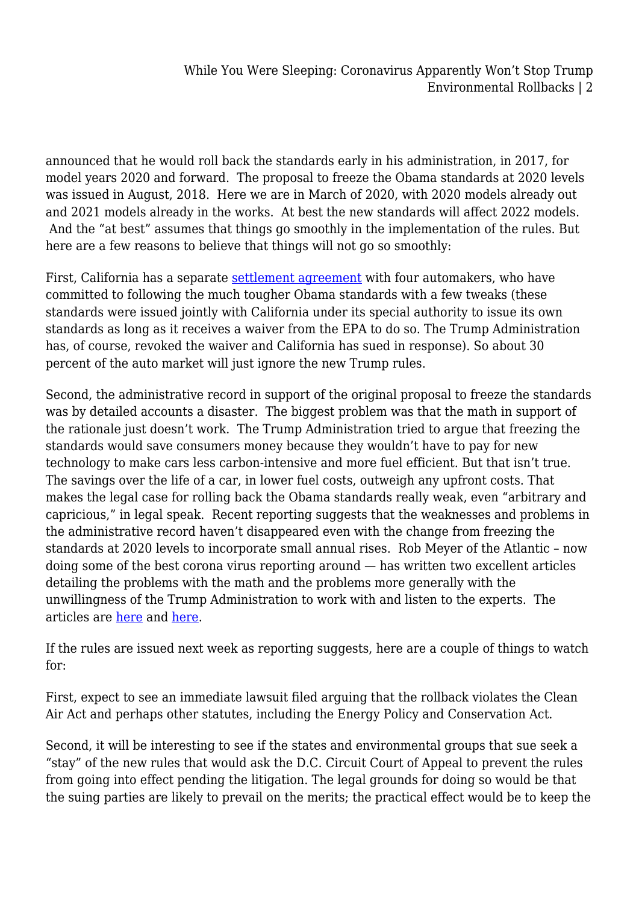announced that he would roll back the standards early in his administration, in 2017, for model years 2020 and forward. The proposal to freeze the Obama standards at 2020 levels was issued in August, 2018. Here we are in March of 2020, with 2020 models already out and 2021 models already in the works. At best the new standards will affect 2022 models. And the "at best" assumes that things go smoothly in the implementation of the rules. But here are a few reasons to believe that things will not go so smoothly:

First, California has a separate [settlement agreement](https://www.latimes.com/politics/story/2019-07-25/california-reaches-climate-deal-with-automakers-spurning-trump) with four automakers, who have committed to following the much tougher Obama standards with a few tweaks (these standards were issued jointly with California under its special authority to issue its own standards as long as it receives a waiver from the EPA to do so. The Trump Administration has, of course, revoked the waiver and California has sued in response). So about 30 percent of the auto market will just ignore the new Trump rules.

Second, the administrative record in support of the original proposal to freeze the standards was by detailed accounts a disaster. The biggest problem was that the math in support of the rationale just doesn't work. The Trump Administration tried to argue that freezing the standards would save consumers money because they wouldn't have to pay for new technology to make cars less carbon-intensive and more fuel efficient. But that isn't true. The savings over the life of a car, in lower fuel costs, outweigh any upfront costs. That makes the legal case for rolling back the Obama standards really weak, even "arbitrary and capricious," in legal speak. Recent reporting suggests that the weaknesses and problems in the administrative record haven't disappeared even with the change from freezing the standards at 2020 levels to incorporate small annual rises. Rob Meyer of the Atlantic – now doing some of the best corona virus reporting around — has written two excellent articles detailing the problems with the math and the problems more generally with the unwillingness of the Trump Administration to work with and listen to the experts. The articles are [here](https://www.theatlantic.com/science/archive/2018/10/trumps-clean-car-rollback-is-riddled-with-math-errors-clouding-its-legal-future/574249/) and [here](https://www.theatlantic.com/science/archive/2020/02/an-inside-account-of-trumps-fuel-economy-debacle/606346/).

If the rules are issued next week as reporting suggests, here are a couple of things to watch for:

First, expect to see an immediate lawsuit filed arguing that the rollback violates the Clean Air Act and perhaps other statutes, including the Energy Policy and Conservation Act.

Second, it will be interesting to see if the states and environmental groups that sue seek a "stay" of the new rules that would ask the D.C. Circuit Court of Appeal to prevent the rules from going into effect pending the litigation. The legal grounds for doing so would be that the suing parties are likely to prevail on the merits; the practical effect would be to keep the